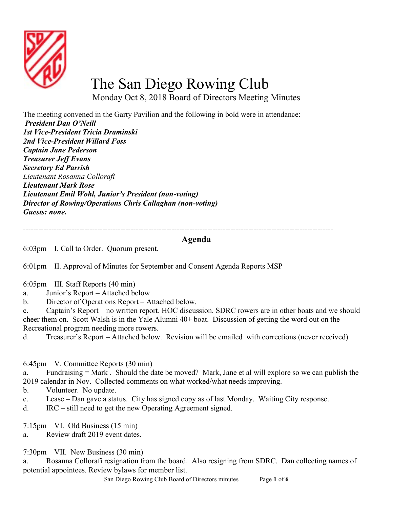

## The San Diego Rowing Club

Monday Oct 8, 2018 Board of Directors Meeting Minutes

The meeting convened in the Garty Pavilion and the following in bold were in attendance: President Dan O'Neill 1st Vice-President Tricia Draminski 2nd Vice-President Willard Foss Captain Jane Pederson Treasurer Jeff Evans Secretary Ed Parrish Lieutenant Rosanna Collorafi Lieutenant Mark Rose Lieutenant Emil Wohl, Junior's President (non-voting) Director of Rowing/Operations Chris Callaghan (non-voting) Guests: none.

-------------------------------------------------------------------------------------------------------------------------

## Agenda

6:03pm I. Call to Order. Quorum present.

6:01pm II. Approval of Minutes for September and Consent Agenda Reports MSP

- 6:05pm III. Staff Reports (40 min)
- a. Junior's Report Attached below
- b. Director of Operations Report Attached below.

c. Captain's Report – no written report. HOC discussion. SDRC rowers are in other boats and we should cheer them on. Scott Walsh is in the Yale Alumni 40+ boat. Discussion of getting the word out on the Recreational program needing more rowers.

d. Treasurer's Report – Attached below. Revision will be emailed with corrections (never received)

6:45pm V. Committee Reports (30 min)

a. Fundraising = Mark . Should the date be moved? Mark, Jane et al will explore so we can publish the 2019 calendar in Nov. Collected comments on what worked/what needs improving.

- b. Volunteer. No update.
- c. Lease Dan gave a status. City has signed copy as of last Monday. Waiting City response.
- d. IRC still need to get the new Operating Agreement signed.

7:15pm VI. Old Business (15 min)

a. Review draft 2019 event dates.

7:30pm VII. New Business (30 min)

a. Rosanna Collorafi resignation from the board. Also resigning from SDRC. Dan collecting names of potential appointees. Review bylaws for member list.

San Diego Rowing Club Board of Directors minutes Page 1 of 6